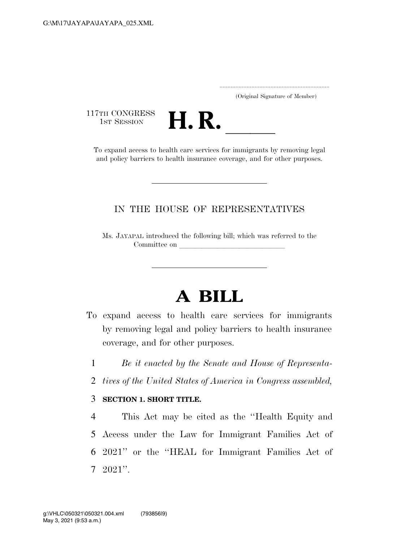..................................................................... (Original Signature of Member)

117TH CONGRESS<br>1st Session



THE CONGRESS<br>
1ST SESSION<br>
To expand access to health care services for immigrants by removing legal and policy barriers to health insurance coverage, and for other purposes.

## IN THE HOUSE OF REPRESENTATIVES

Ms. JAYAPAL introduced the following bill; which was referred to the Committee on

## **A BILL**

- To expand access to health care services for immigrants by removing legal and policy barriers to health insurance coverage, and for other purposes.
	- 1 *Be it enacted by the Senate and House of Representa-*
	- 2 *tives of the United States of America in Congress assembled,*

## 3 **SECTION 1. SHORT TITLE.**

 This Act may be cited as the ''Health Equity and Access under the Law for Immigrant Families Act of 2021'' or the ''HEAL for Immigrant Families Act of 7 2021''.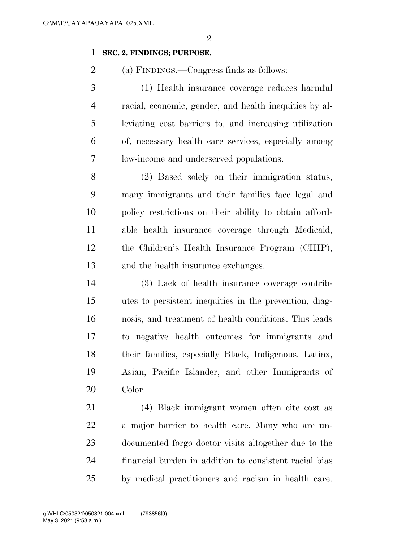$\mathfrak{D}$ 

## **SEC. 2. FINDINGS; PURPOSE.**

(a) FINDINGS.—Congress finds as follows:

 (1) Health insurance coverage reduces harmful racial, economic, gender, and health inequities by al- leviating cost barriers to, and increasing utilization of, necessary health care services, especially among low-income and underserved populations.

 (2) Based solely on their immigration status, many immigrants and their families face legal and policy restrictions on their ability to obtain afford- able health insurance coverage through Medicaid, the Children's Health Insurance Program (CHIP), and the health insurance exchanges.

 (3) Lack of health insurance coverage contrib- utes to persistent inequities in the prevention, diag- nosis, and treatment of health conditions. This leads to negative health outcomes for immigrants and their families, especially Black, Indigenous, Latinx, Asian, Pacific Islander, and other Immigrants of Color.

 (4) Black immigrant women often cite cost as a major barrier to health care. Many who are un- documented forgo doctor visits altogether due to the financial burden in addition to consistent racial bias by medical practitioners and racism in health care.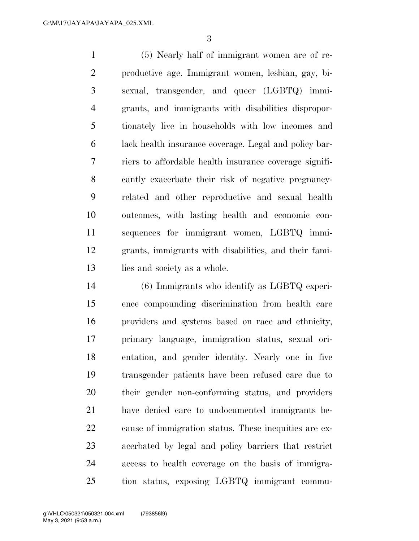(5) Nearly half of immigrant women are of re- productive age. Immigrant women, lesbian, gay, bi- sexual, transgender, and queer (LGBTQ) immi- grants, and immigrants with disabilities dispropor- tionately live in households with low incomes and lack health insurance coverage. Legal and policy bar- riers to affordable health insurance coverage signifi- cantly exacerbate their risk of negative pregnancy- related and other reproductive and sexual health outcomes, with lasting health and economic con- sequences for immigrant women, LGBTQ immi- grants, immigrants with disabilities, and their fami-13 lies and society as a whole.

 (6) Immigrants who identify as LGBTQ experi- ence compounding discrimination from health care providers and systems based on race and ethnicity, primary language, immigration status, sexual ori- entation, and gender identity. Nearly one in five transgender patients have been refused care due to their gender non-conforming status, and providers have denied care to undocumented immigrants be- cause of immigration status. These inequities are ex- acerbated by legal and policy barriers that restrict access to health coverage on the basis of immigra-tion status, exposing LGBTQ immigrant commu-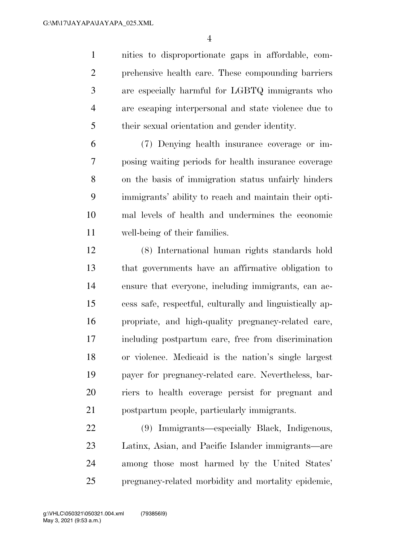nities to disproportionate gaps in affordable, com- prehensive health care. These compounding barriers are especially harmful for LGBTQ immigrants who are escaping interpersonal and state violence due to their sexual orientation and gender identity.

 (7) Denying health insurance coverage or im- posing waiting periods for health insurance coverage on the basis of immigration status unfairly hinders immigrants' ability to reach and maintain their opti- mal levels of health and undermines the economic well-being of their families.

 (8) International human rights standards hold that governments have an affirmative obligation to ensure that everyone, including immigrants, can ac- cess safe, respectful, culturally and linguistically ap- propriate, and high-quality pregnancy-related care, including postpartum care, free from discrimination or violence. Medicaid is the nation's single largest payer for pregnancy-related care. Nevertheless, bar- riers to health coverage persist for pregnant and postpartum people, particularly immigrants.

 (9) Immigrants—especially Black, Indigenous, Latinx, Asian, and Pacific Islander immigrants—are among those most harmed by the United States' pregnancy-related morbidity and mortality epidemic,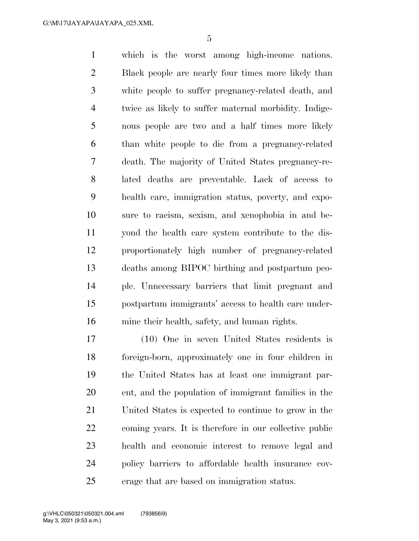which is the worst among high-income nations. Black people are nearly four times more likely than white people to suffer pregnancy-related death, and twice as likely to suffer maternal morbidity. Indige- nous people are two and a half times more likely than white people to die from a pregnancy-related death. The majority of United States pregnancy-re- lated deaths are preventable. Lack of access to health care, immigration status, poverty, and expo- sure to racism, sexism, and xenophobia in and be- yond the health care system contribute to the dis- proportionately high number of pregnancy-related deaths among BIPOC birthing and postpartum peo- ple. Unnecessary barriers that limit pregnant and postpartum immigrants' access to health care under-mine their health, safety, and human rights.

 (10) One in seven United States residents is foreign-born, approximately one in four children in the United States has at least one immigrant par- ent, and the population of immigrant families in the United States is expected to continue to grow in the coming years. It is therefore in our collective public health and economic interest to remove legal and policy barriers to affordable health insurance cov-erage that are based on immigration status.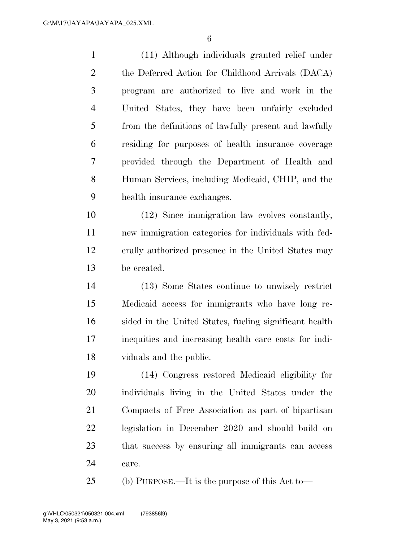(11) Although individuals granted relief under the Deferred Action for Childhood Arrivals (DACA) program are authorized to live and work in the United States, they have been unfairly excluded from the definitions of lawfully present and lawfully residing for purposes of health insurance coverage provided through the Department of Health and Human Services, including Medicaid, CHIP, and the health insurance exchanges.

 (12) Since immigration law evolves constantly, new immigration categories for individuals with fed- erally authorized presence in the United States may be created.

 (13) Some States continue to unwisely restrict Medicaid access for immigrants who have long re- sided in the United States, fueling significant health inequities and increasing health care costs for indi-viduals and the public.

 (14) Congress restored Medicaid eligibility for individuals living in the United States under the Compacts of Free Association as part of bipartisan legislation in December 2020 and should build on that success by ensuring all immigrants can access care.

(b) PURPOSE.—It is the purpose of this Act to—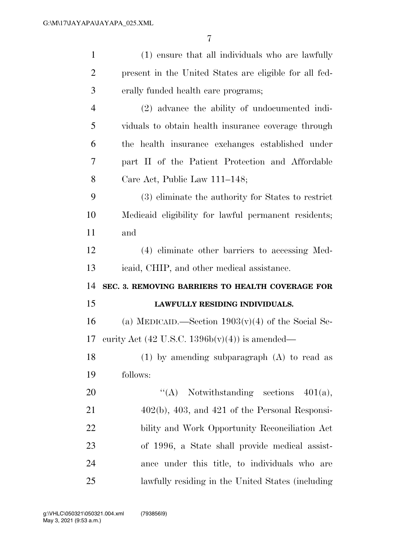| $\mathbf{1}$   | (1) ensure that all individuals who are lawfully       |
|----------------|--------------------------------------------------------|
| $\overline{2}$ | present in the United States are eligible for all fed- |
| 3              | erally funded health care programs;                    |
| $\overline{4}$ | (2) advance the ability of undocumented indi-          |
| 5              | viduals to obtain health insurance coverage through    |
| 6              | the health insurance exchanges established under       |
| 7              | part II of the Patient Protection and Affordable       |
| 8              | Care Act, Public Law 111-148;                          |
| 9              | (3) eliminate the authority for States to restrict     |
| 10             | Medicaid eligibility for lawful permanent residents;   |
| 11             | and                                                    |
| 12             | (4) eliminate other barriers to accessing Med-         |
|                |                                                        |
| 13             | icaid, CHIP, and other medical assistance.             |
| 14             | SEC. 3. REMOVING BARRIERS TO HEALTH COVERAGE FOR       |
| 15             | LAWFULLY RESIDING INDIVIDUALS.                         |
| 16             | (a) MEDICAID.—Section $1903(v)(4)$ of the Social Se-   |
| 17             | curity Act (42 U.S.C. $1396b(v)(4)$ ) is amended—      |
| 18             | (1) by amending subparagraph $(A)$ to read as          |
| 19             | follows:                                               |
| 20             | "(A) Notwithstanding sections $401(a)$ ,               |
| 21             | $402(b)$ , $403$ , and $421$ of the Personal Responsi- |
| 22             | bility and Work Opportunity Reconciliation Act         |
| 23             | of 1996, a State shall provide medical assist-         |
| 24             | ance under this title, to individuals who are          |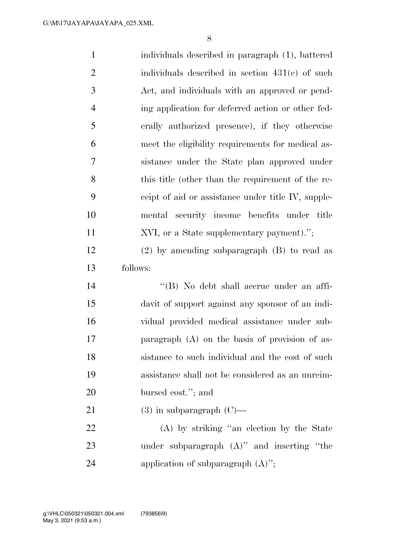| $\mathbf{1}$   | individuals described in paragraph (1), battered   |
|----------------|----------------------------------------------------|
| $\overline{2}$ | individuals described in section $431(e)$ of such  |
| 3              | Act, and individuals with an approved or pend-     |
| $\overline{4}$ | ing application for deferred action or other fed-  |
| 5              | erally authorized presence), if they otherwise     |
| 6              | meet the eligibility requirements for medical as-  |
| 7              | sistance under the State plan approved under       |
| 8              | this title (other than the requirement of the re-  |
| 9              | ceipt of aid or assistance under title IV, supple- |
| 10             | mental security income benefits under title        |
| 11             | XVI, or a State supplementary payment).";          |
| 12             | $(2)$ by amending subparagraph $(B)$ to read as    |
|                |                                                    |
| 13             | follows:                                           |
| 14             | "(B) No debt shall accrue under an affi-           |
| 15             | davit of support against any sponsor of an indi-   |
| 16             | vidual provided medical assistance under sub-      |
| 17             | paragraph $(A)$ on the basis of provision of as-   |
| 18             | sistance to such individual and the cost of such   |
| 19             | assistance shall not be considered as an unreim-   |
| 20             | bursed cost."; and                                 |
| 21             | $(3)$ in subparagraph $(C)$ —                      |
| 22             | (A) by striking "an election by the State          |
| 23             | under subparagraph $(A)$ " and inserting "the      |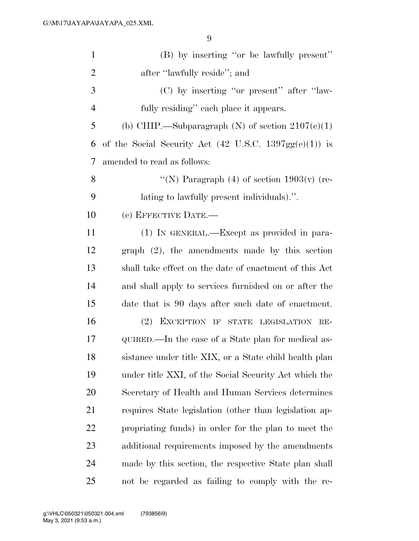| $\mathbf{1}$   | (B) by inserting "or be lawfully present"                                 |
|----------------|---------------------------------------------------------------------------|
| $\overline{2}$ | after "lawfully reside"; and                                              |
| 3              | (C) by inserting "or present" after "law-                                 |
| $\overline{4}$ | fully residing" each place it appears.                                    |
| 5              | (b) CHIP.—Subparagraph (N) of section $2107(e)(1)$                        |
| 6              | of the Social Security Act $(42 \text{ U.S.C. } 1397 \text{gg}(e)(1))$ is |
| 7              | amended to read as follows:                                               |
| 8              | "(N) Paragraph $(4)$ of section 1903(v) (re-                              |
| 9              | lating to lawfully present individuals).".                                |
| 10             | (c) EFFECTIVE DATE.-                                                      |
| 11             | (1) IN GENERAL.—Except as provided in para-                               |
| 12             | graph $(2)$ , the amendments made by this section                         |
| 13             | shall take effect on the date of enactment of this Act                    |
| 14             | and shall apply to services furnished on or after the                     |
| 15             | date that is 90 days after such date of enactment.                        |
| 16             | (2) EXCEPTION IF STATE LEGISLATION RE-                                    |
| 17             | QUIRED.—In the case of a State plan for medical as-                       |
| 18             | sistance under title XIX, or a State child health plan                    |
| 19             | under title XXI, of the Social Security Act which the                     |
| 20             | Secretary of Health and Human Services determines                         |
| 21             | requires State legislation (other than legislation ap-                    |
| <u>22</u>      | propriating funds) in order for the plan to meet the                      |
| 23             | additional requirements imposed by the amendments                         |
| 24             | made by this section, the respective State plan shall                     |
| 25             | not be regarded as failing to comply with the re-                         |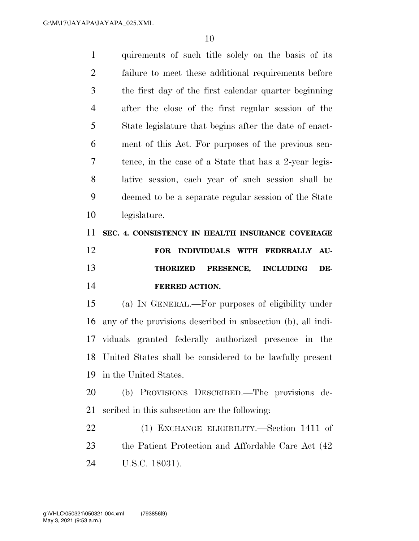| $\mathbf{1}$   | quirements of such title solely on the basis of its          |
|----------------|--------------------------------------------------------------|
| $\overline{2}$ | failure to meet these additional requirements before         |
| 3              | the first day of the first calendar quarter beginning        |
| $\overline{4}$ | after the close of the first regular session of the          |
| 5              | State legislature that begins after the date of enact-       |
| 6              | ment of this Act. For purposes of the previous sen-          |
| 7              | tence, in the case of a State that has a 2-year legis-       |
| 8              | lative session, each year of such session shall be           |
| 9              | deemed to be a separate regular session of the State         |
| 10             | legislature.                                                 |
| 11             | SEC. 4. CONSISTENCY IN HEALTH INSURANCE COVERAGE             |
|                |                                                              |
| 12             | INDIVIDUALS WITH FEDERALLY<br>AU-<br>FOR                     |
| 13             | PRESENCE,<br><b>INCLUDING</b><br>DE-<br><b>THORIZED</b>      |
| 14             | <b>FERRED ACTION.</b>                                        |
| 15             | (a) IN GENERAL.—For purposes of eligibility under            |
| 16             | any of the provisions described in subsection (b), all indi- |
|                | 17 viduals granted federally authorized presence in the      |
|                | 18 United States shall be considered to be lawfully present  |
| 19             | in the United States.                                        |
| 20             | (b) PROVISIONS DESCRIBED.—The provisions de-                 |
| 21             | scribed in this subsection are the following:                |
| 22             | (1) EXCHANGE ELIGIBILITY.—Section 1411 of                    |

U.S.C. 18031).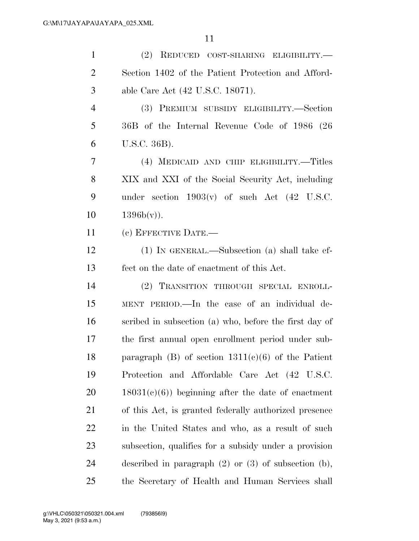| $\mathbf{1}$   | (2) REDUCED COST-SHARING ELIGIBILITY.-                      |
|----------------|-------------------------------------------------------------|
| $\overline{2}$ | Section 1402 of the Patient Protection and Afford-          |
| 3              | able Care Act (42 U.S.C. 18071).                            |
| $\overline{4}$ | (3) PREMIUM SUBSIDY ELIGIBILITY.—Section                    |
| 5              | 36B of the Internal Revenue Code of 1986 (26                |
| 6              | U.S.C. 36B).                                                |
| 7              | (4) MEDICAID AND CHIP ELIGIBILITY.—Titles                   |
| 8              | XIX and XXI of the Social Security Act, including           |
| 9              | under section $1903(v)$ of such Act $(42 \text{ U.S.C.})$   |
| 10             | $1396b(v)$ ).                                               |
| 11             | (c) EFFECTIVE DATE.-                                        |
| 12             | $(1)$ In GENERAL.—Subsection $(a)$ shall take ef-           |
| 13             | fect on the date of enactment of this Act.                  |
| 14             | (2) TRANSITION THROUGH SPECIAL ENROLL-                      |
| 15             | MENT PERIOD.—In the case of an individual de-               |
| 16             | scribed in subsection (a) who, before the first day of      |
| 17             | the first annual open enrollment period under sub-          |
| 18             | paragraph (B) of section $1311(e)(6)$ of the Patient        |
| 19             | Protection and Affordable Care Act (42 U.S.C.               |
| 20             | $18031(c)(6)$ ) beginning after the date of enactment       |
| 21             | of this Act, is granted federally authorized presence       |
| 22             | in the United States and who, as a result of such           |
| 23             | subsection, qualifies for a subsidy under a provision       |
| 24             | described in paragraph $(2)$ or $(3)$ of subsection $(b)$ , |
| 25             | the Secretary of Health and Human Services shall            |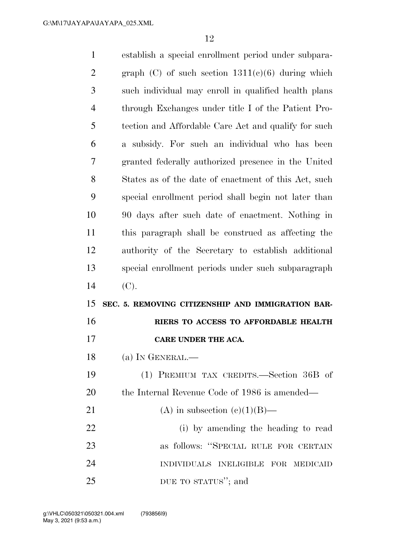| $\mathbf{1}$ | establish a special enrollment period under subpara-  |
|--------------|-------------------------------------------------------|
| 2            | graph $(C)$ of such section $1311(e)(6)$ during which |
| 3            | such individual may enroll in qualified health plans  |
| 4            | through Exchanges under title I of the Patient Pro-   |
| 5            | tection and Affordable Care Act and qualify for such  |
| 6            | a subsidy. For such an individual who has been        |
| 7            | granted federally authorized presence in the United   |
| 8            | States as of the date of enactment of this Act, such  |
| 9            | special enrollment period shall begin not later than  |
| 10           | 90 days after such date of enactment. Nothing in      |
| 11           | this paragraph shall be construed as affecting the    |
| 12           | authority of the Secretary to establish additional    |
|              |                                                       |
| 13           | special enrollment periods under such subparagraph    |
| 14           | (C).                                                  |
| 15           | SEC. 5. REMOVING CITIZENSHIP AND IMMIGRATION BAR-     |
| 16           | RIERS TO ACCESS TO AFFORDABLE HEALTH                  |
| 17           | CARE UNDER THE ACA.                                   |
| 18           | (a) IN GENERAL.-                                      |
| 19           | (1) PREMIUM TAX CREDITS.—Section 36B of               |
| <b>20</b>    | the Internal Revenue Code of 1986 is amended—         |
| 21           | (A) in subsection (c)(1)(B)—                          |
| 22           | (i) by amending the heading to read                   |
| 23           | as follows: "SPECIAL RULE FOR CERTAIN                 |
| 24           | INDIVIDUALS INELIGIBLE FOR MEDICAID                   |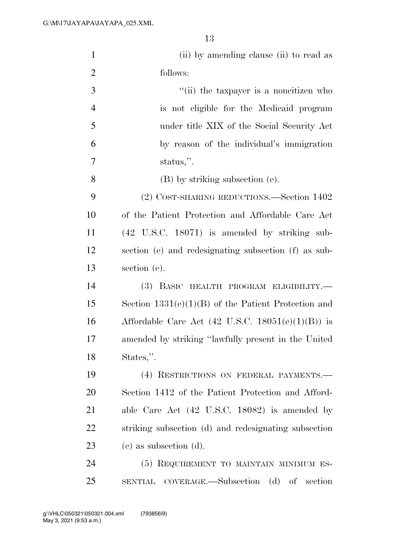| $\mathbf{1}$   | (ii) by amending clause (ii) to read as                      |
|----------------|--------------------------------------------------------------|
| $\overline{2}$ | follows:                                                     |
| 3              | "(ii) the taxpayer is a noncitizen who                       |
| $\overline{4}$ | is not eligible for the Medicaid program                     |
| 5              | under title XIX of the Social Security Act                   |
| 6              | by reason of the individual's immigration                    |
| 7              | status,".                                                    |
| 8              | (B) by striking subsection (e).                              |
| 9              | (2) COST-SHARING REDUCTIONS.—Section 1402                    |
| 10             | of the Patient Protection and Affordable Care Act            |
| 11             | $(42 \tUS.C. 18071)$ is amended by striking sub-             |
| 12             | section (e) and redesignating subsection (f) as sub-         |
| 13             | section (e).                                                 |
| 14             | (3) BASIC HEALTH PROGRAM ELIGIBILITY.-                       |
| 15             | Section $1331(e)(1)(B)$ of the Patient Protection and        |
| 16             | Affordable Care Act $(42 \text{ U.S.C. } 18051(e)(1)(B))$ is |
| 17             | amended by striking "lawfully present in the United          |
| 18             | States,".                                                    |
| 19             | (4) RESTRICTIONS ON FEDERAL PAYMENTS.                        |
| 20             | Section 1412 of the Patient Protection and Afford-           |
| 21             | able Care Act $(42 \text{ U.S.C. } 18082)$ is amended by     |
| 22             | striking subsection (d) and redesignating subsection         |
| 23             | (e) as subsection (d).                                       |
| 24             | (5) REQUIREMENT TO MAINTAIN MINIMUM ES-                      |
| 25             | SENTIAL COVERAGE.—Subsection (d) of section                  |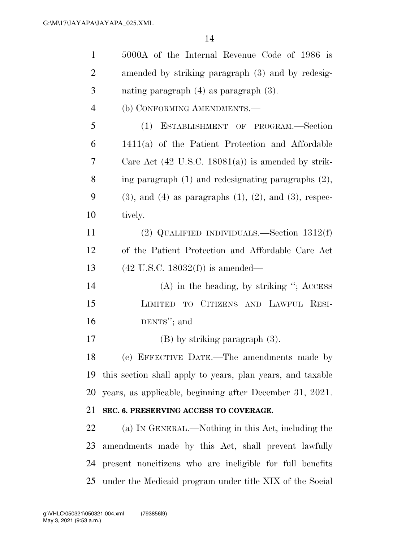| $\mathbf{1}$   | 5000A of the Internal Revenue Code of 1986 is                       |
|----------------|---------------------------------------------------------------------|
| $\overline{2}$ | amended by striking paragraph (3) and by redesig-                   |
| 3              | nating paragraph $(4)$ as paragraph $(3)$ .                         |
| $\overline{4}$ | (b) CONFORMING AMENDMENTS.—                                         |
| 5              | (1) ESTABLISHMENT OF PROGRAM.-Section                               |
| 6              | 1411(a) of the Patient Protection and Affordable                    |
| 7              | Care Act $(42 \text{ U.S.C. } 18081(a))$ is amended by strik-       |
| 8              | ing paragraph $(1)$ and redesignating paragraphs $(2)$ ,            |
| 9              | $(3)$ , and $(4)$ as paragraphs $(1)$ , $(2)$ , and $(3)$ , respec- |
| 10             | tively.                                                             |
| 11             | (2) QUALIFIED INDIVIDUALS.—Section $1312(f)$                        |
| 12             | of the Patient Protection and Affordable Care Act                   |
| 13             | $(42 \text{ U.S.C. } 18032(f))$ is amended—                         |
| 14             | $(A)$ in the heading, by striking "; ACCESS                         |
| 15             | LIMITED TO CITIZENS AND LAWFUL RESI-                                |
| 16             | DENTS"; and                                                         |
| 17             | $(B)$ by striking paragraph $(3)$ .                                 |
| 18             | (c) EFFECTIVE DATE.—The amendments made by                          |
| 19             | this section shall apply to years, plan years, and taxable          |
| 20             | years, as applicable, beginning after December 31, 2021.            |
| 21             | SEC. 6. PRESERVING ACCESS TO COVERAGE.                              |
| 22             | (a) IN GENERAL.—Nothing in this Act, including the                  |
| 23             | amendments made by this Act, shall prevent lawfully                 |
| 24             | present noncitizens who are ineligible for full benefits            |
|                | 25 under the Medicaid program under title XIX of the Social         |